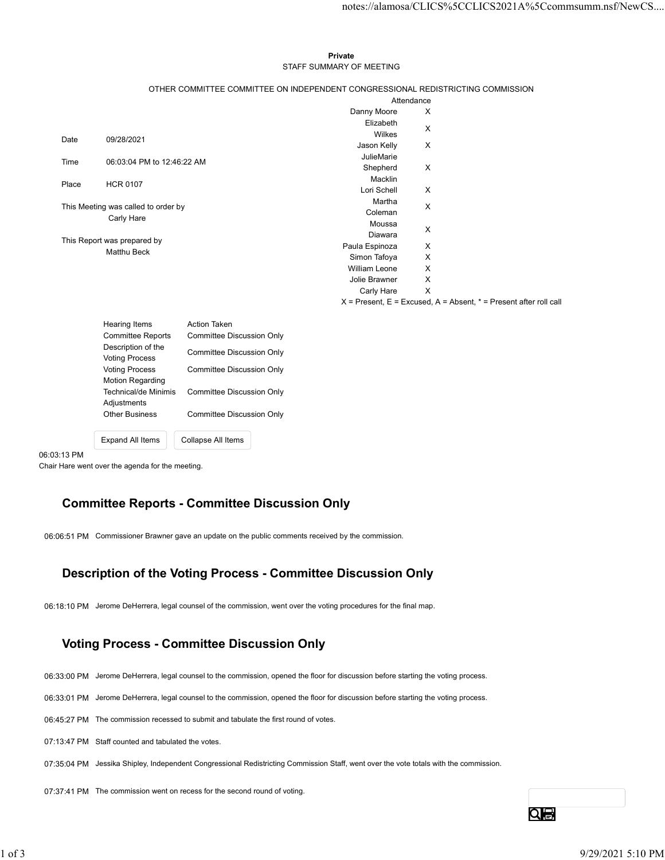### Private **Private** and *Private* and *Private* and *Private* and *Private* and *Private* and *Private* and *Private* and *Private* and *Private* and *Private* and *Private* and *Private* and *Private* and *Private* and *Pri* STAFF SUMMARY OF MEETING

|       |                                                   |                                                                                 |                           | notes://alamosa/CLICS%5CCLICS2021A%5Ccommsumm.nsf/NewCS                   |
|-------|---------------------------------------------------|---------------------------------------------------------------------------------|---------------------------|---------------------------------------------------------------------------|
|       |                                                   |                                                                                 |                           |                                                                           |
|       |                                                   |                                                                                 |                           |                                                                           |
|       |                                                   | Private                                                                         |                           |                                                                           |
|       |                                                   | STAFF SUMMARY OF MEETING                                                        |                           |                                                                           |
|       |                                                   | OTHER COMMITTEE COMMITTEE ON INDEPENDENT CONGRESSIONAL REDISTRICTING COMMISSION |                           |                                                                           |
|       |                                                   |                                                                                 | Attendance                |                                                                           |
|       |                                                   | Danny Moore                                                                     | X                         |                                                                           |
|       |                                                   | Elizabeth<br>Wilkes                                                             | X                         |                                                                           |
| Date  | 09/28/2021                                        | Jason Kelly                                                                     | X                         |                                                                           |
| Time  | 06:03:04 PM to 12:46:22 AM                        | JulieMarie                                                                      |                           |                                                                           |
|       |                                                   | Shepherd                                                                        | X                         |                                                                           |
| Place | <b>HCR 0107</b>                                   | Macklin<br>Lori Schell                                                          | X                         |                                                                           |
|       |                                                   | Martha                                                                          |                           |                                                                           |
|       | This Meeting was called to order by<br>Carly Hare | Coleman                                                                         | X                         |                                                                           |
|       |                                                   | Moussa                                                                          | X                         |                                                                           |
|       | This Report was prepared by                       | Diawara<br>Paula Espinoza                                                       | $\boldsymbol{\mathsf{X}}$ |                                                                           |
|       | Matthu Beck                                       | Simon Tafoya                                                                    | X                         |                                                                           |
|       |                                                   | William Leone                                                                   | X                         |                                                                           |
|       |                                                   | Jolie Brawner                                                                   | X                         |                                                                           |
|       |                                                   | Carly Hare                                                                      | $\mathsf{X}$              | $X =$ Present, $E =$ Excused, $A =$ Absent, $* =$ Present after roll call |
|       |                                                   |                                                                                 |                           |                                                                           |
|       | Hearing Items                                     | Action Taken                                                                    |                           |                                                                           |
|       | <b>Committee Reports</b><br>Description of the    | <b>Committee Discussion Only</b>                                                |                           |                                                                           |
|       | <b>Voting Process</b><br><b>Voting Process</b>    | <b>Committee Discussion Only</b>                                                |                           |                                                                           |
|       |                                                   | <b>Committee Discussion Only</b>                                                |                           |                                                                           |
|       | Motion Regarding                                  | <b>Committee Discussion Only</b>                                                |                           |                                                                           |
|       | Technical/de Minimis<br>Adjustments               |                                                                                 |                           |                                                                           |
|       | <b>Other Business</b>                             | <b>Committee Discussion Only</b>                                                |                           |                                                                           |
|       |                                                   |                                                                                 |                           |                                                                           |
|       | Expand All Items                                  | Collapse All Items                                                              |                           |                                                                           |
|       |                                                   |                                                                                 |                           |                                                                           |

| <b>Hearing Items</b>                        | <b>Action Taken</b>       |
|---------------------------------------------|---------------------------|
| <b>Committee Reports</b>                    | Committee Discussion Only |
| Description of the<br><b>Voting Process</b> | Committee Discussion Only |
| <b>Voting Process</b>                       | Committee Discussion Only |
| <b>Motion Regarding</b>                     |                           |
| Technical/de Minimis                        | Committee Discussion Only |
| Adjustments                                 |                           |
| <b>Other Business</b>                       | Committee Discussion Only |
|                                             |                           |
| <b>Expand All Items</b>                     | Collapse All Items        |

06:03:13 PM

Chair Hare went over the agenda for the meeting.

### Committee Reports - Committee Discussion Only

06:06:51 PM Commissioner Brawner gave an update on the public comments received by the commission.

## Description of the Voting Process - Committee Discussion Only

06:18:10 PM Jerome DeHerrera, legal counsel of the commission, went over the voting procedures for the final map.

# Voting Process - Committee Discussion Only USCTIPITION Of the Voting Process - Committee Discussion Only<br>
06:18:10 PM Jerome DeHerran, legal coursel of the commission, wont over the voting procedures for the final map.<br>
1990 PM Jerome DeHerran, legal course to the

- 06:33:00 PM Jerome DeHerrera, legal counsel to the commission, opened the floor for discussion before starting the voting process.
- 06:33:01 PM Jerome DeHerrera, legal counsel to the commission, opened the floor for discussion before starting the voting process.
- 06:45:27 PM The commission recessed to submit and tabulate the first round of votes.
- 07:13:47 PM Staff counted and tabulated the votes.
- 07:35:04 PM Jessika Shipley, Independent Congressional Redistricting Commission Staff, went over the vote totals with the commission.
- 07:37:41 PM The commission went on recess for the second round of voting.

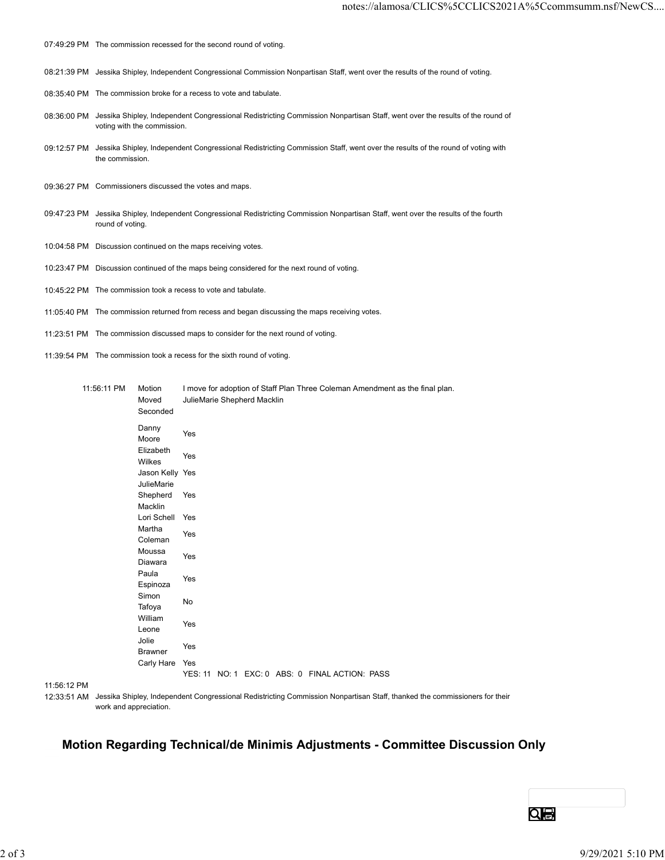- 07:49:29 PM The commission recessed for the second round of voting.
- 08:21:39 PM Jessika Shipley, Independent Congressional Commission Nonpartisan Staff, went over the results of the round of voting.
- 08:35:40 PM The commission broke for a recess to vote and tabulate.
- 08:36:00 PM Jessika Shipley, Independent Congressional Redistricting Commission Nonpartisan Staff, went over the results of the round of voting with the commission.
- 09:12:57 PM Jessika Shipley, Independent Congressional Redistricting Commission Staff, went over the results of the round of voting with the commission.
- 09:36:27 PM Commissioners discussed the votes and maps.
- 09:47:23 PM Jessika Shipley, Independent Congressional Redistricting Commission Nonpartisan Staff, went over the results of the fourth round of voting.
- 10:04:58 PM Discussion continued on the maps receiving votes.
- 10:23:47 PM Discussion continued of the maps being considered for the next round of voting.
- 10:45:22 PM The commission took a recess to vote and tabulate.
- 11:05:40 PM The commission returned from recess and began discussing the maps receiving votes.
- 11:23:51 PM The commission discussed maps to consider for the next round of voting.
- 11:39:54 PM The commission took a recess for the sixth round of voting.

| 09:12:57 PM Jessika Shipley, Independent Congressional Redistricting Commission Staff, went over the results of the round of voting with<br>the commission.<br>09:36:27 PM Commissioners discussed the votes and maps.<br>09:47:23 PM Jessika Shipley, Independent Congressional Redistricting Commission Nonpartisan Staff, went over the results of the fourth<br>round of voting.<br>10:04:58 PM Discussion continued on the maps receiving votes.<br>10:23:47 PM Discussion continued of the maps being considered for the next round of voting.<br>10:45:22 PM The commission took a recess to vote and tabulate.<br>11:05:40 PM The commission returned from recess and began discussing the maps receiving votes.<br>11:23:51 PM The commission discussed maps to consider for the next round of voting.<br>11:39:54 PM The commission took a recess for the sixth round of voting.<br>11:56:11 PM<br>Motion<br>I move for adoption of Staff Plan Three Coleman Amendment as the final plan.<br>JulieMarie Shepherd Macklin<br>Moved<br>Seconded<br>Danny<br>Yes<br>Moore<br>Elizabeth<br>Yes<br>Wilkes<br>Jason Kelly Yes<br>JulieMarie<br>Shepherd Yes<br>Macklin<br>Lori Schell Yes<br>Martha<br>Yes<br>Coleman<br>Moussa<br>Yes<br>Diawara<br>Paula<br>Yes<br>Espinoza<br>Simon<br>No<br>Tafoya<br>William<br>Yes<br>Leone<br>Jolie<br>Yes<br>Brawner<br>Carly Hare Yes<br>YES: 11 NO: 1 EXC: 0 ABS: 0 FINAL ACTION: PASS<br>11:56:12 PM<br>12:33:51 AM Jessika Shipley, Independent Congressional Redistricting Commission Nonpartisan Staff, thanked the commissioners for their<br>work and appreciation.<br>Motion Regarding Technical/de Minimis Adjustments - Committee Discussion Only |            | voting with the commission. |  |  | 08:36:00 PM Jessika Shipley, Independent Congressional Redistricting Commission Nonpartisan Staff, went over the results of the round of |                 |                   |
|----------------------------------------------------------------------------------------------------------------------------------------------------------------------------------------------------------------------------------------------------------------------------------------------------------------------------------------------------------------------------------------------------------------------------------------------------------------------------------------------------------------------------------------------------------------------------------------------------------------------------------------------------------------------------------------------------------------------------------------------------------------------------------------------------------------------------------------------------------------------------------------------------------------------------------------------------------------------------------------------------------------------------------------------------------------------------------------------------------------------------------------------------------------------------------------------------------------------------------------------------------------------------------------------------------------------------------------------------------------------------------------------------------------------------------------------------------------------------------------------------------------------------------------------------------------------------------------------------------------------------------------------------------------------------------------------------------|------------|-----------------------------|--|--|------------------------------------------------------------------------------------------------------------------------------------------|-----------------|-------------------|
|                                                                                                                                                                                                                                                                                                                                                                                                                                                                                                                                                                                                                                                                                                                                                                                                                                                                                                                                                                                                                                                                                                                                                                                                                                                                                                                                                                                                                                                                                                                                                                                                                                                                                                          |            |                             |  |  |                                                                                                                                          |                 |                   |
|                                                                                                                                                                                                                                                                                                                                                                                                                                                                                                                                                                                                                                                                                                                                                                                                                                                                                                                                                                                                                                                                                                                                                                                                                                                                                                                                                                                                                                                                                                                                                                                                                                                                                                          |            |                             |  |  |                                                                                                                                          |                 |                   |
|                                                                                                                                                                                                                                                                                                                                                                                                                                                                                                                                                                                                                                                                                                                                                                                                                                                                                                                                                                                                                                                                                                                                                                                                                                                                                                                                                                                                                                                                                                                                                                                                                                                                                                          |            |                             |  |  |                                                                                                                                          |                 |                   |
|                                                                                                                                                                                                                                                                                                                                                                                                                                                                                                                                                                                                                                                                                                                                                                                                                                                                                                                                                                                                                                                                                                                                                                                                                                                                                                                                                                                                                                                                                                                                                                                                                                                                                                          |            |                             |  |  |                                                                                                                                          |                 |                   |
|                                                                                                                                                                                                                                                                                                                                                                                                                                                                                                                                                                                                                                                                                                                                                                                                                                                                                                                                                                                                                                                                                                                                                                                                                                                                                                                                                                                                                                                                                                                                                                                                                                                                                                          |            |                             |  |  |                                                                                                                                          |                 |                   |
|                                                                                                                                                                                                                                                                                                                                                                                                                                                                                                                                                                                                                                                                                                                                                                                                                                                                                                                                                                                                                                                                                                                                                                                                                                                                                                                                                                                                                                                                                                                                                                                                                                                                                                          |            |                             |  |  |                                                                                                                                          |                 |                   |
|                                                                                                                                                                                                                                                                                                                                                                                                                                                                                                                                                                                                                                                                                                                                                                                                                                                                                                                                                                                                                                                                                                                                                                                                                                                                                                                                                                                                                                                                                                                                                                                                                                                                                                          |            |                             |  |  |                                                                                                                                          |                 |                   |
|                                                                                                                                                                                                                                                                                                                                                                                                                                                                                                                                                                                                                                                                                                                                                                                                                                                                                                                                                                                                                                                                                                                                                                                                                                                                                                                                                                                                                                                                                                                                                                                                                                                                                                          |            |                             |  |  |                                                                                                                                          |                 |                   |
|                                                                                                                                                                                                                                                                                                                                                                                                                                                                                                                                                                                                                                                                                                                                                                                                                                                                                                                                                                                                                                                                                                                                                                                                                                                                                                                                                                                                                                                                                                                                                                                                                                                                                                          |            |                             |  |  |                                                                                                                                          |                 |                   |
|                                                                                                                                                                                                                                                                                                                                                                                                                                                                                                                                                                                                                                                                                                                                                                                                                                                                                                                                                                                                                                                                                                                                                                                                                                                                                                                                                                                                                                                                                                                                                                                                                                                                                                          |            |                             |  |  |                                                                                                                                          |                 |                   |
|                                                                                                                                                                                                                                                                                                                                                                                                                                                                                                                                                                                                                                                                                                                                                                                                                                                                                                                                                                                                                                                                                                                                                                                                                                                                                                                                                                                                                                                                                                                                                                                                                                                                                                          |            |                             |  |  |                                                                                                                                          |                 |                   |
|                                                                                                                                                                                                                                                                                                                                                                                                                                                                                                                                                                                                                                                                                                                                                                                                                                                                                                                                                                                                                                                                                                                                                                                                                                                                                                                                                                                                                                                                                                                                                                                                                                                                                                          |            |                             |  |  |                                                                                                                                          |                 |                   |
|                                                                                                                                                                                                                                                                                                                                                                                                                                                                                                                                                                                                                                                                                                                                                                                                                                                                                                                                                                                                                                                                                                                                                                                                                                                                                                                                                                                                                                                                                                                                                                                                                                                                                                          |            |                             |  |  |                                                                                                                                          | $Q_{\bigoplus}$ |                   |
|                                                                                                                                                                                                                                                                                                                                                                                                                                                                                                                                                                                                                                                                                                                                                                                                                                                                                                                                                                                                                                                                                                                                                                                                                                                                                                                                                                                                                                                                                                                                                                                                                                                                                                          |            |                             |  |  |                                                                                                                                          |                 |                   |
|                                                                                                                                                                                                                                                                                                                                                                                                                                                                                                                                                                                                                                                                                                                                                                                                                                                                                                                                                                                                                                                                                                                                                                                                                                                                                                                                                                                                                                                                                                                                                                                                                                                                                                          | $2$ of $3$ |                             |  |  |                                                                                                                                          |                 | 9/29/2021 5:10 PM |

### Motion Regarding Technical/de Minimis Adjustments - Committee Discussion Only